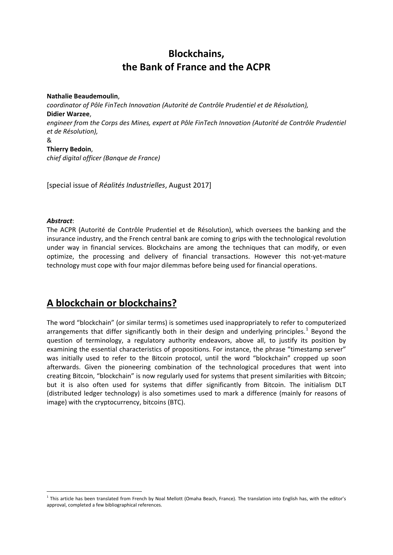## **Blockchains, the Bank of France and the ACPR**

**Nathalie Beaudemoulin**, *coordinator of Pôle FinTech Innovation (Autorité de Contrôle Prudentiel et de Résolution),*  **Didier Warzee**, *engineer from the Corps des Mines, expert at Pôle FinTech Innovation (Autorité de Contrôle Prudentiel et de Résolution),*  & **Thierry Bedoin**, *chief digital officer (Banque de France)*

[special issue of *Réalités Industrielles*, August 2017]

#### *Abstract*:

The ACPR (Autorité de Contrôle Prudentiel et de Résolution), which oversees the banking and the insurance industry, and the French central bank are coming to grips with the technological revolution under way in financial services. Blockchains are among the techniques that can modify, or even optimize, the processing and delivery of financial transactions. However this not-yet-mature technology must cope with four major dilemmas before being used for financial operations.

#### **A blockchain or blockchains?**

The word "blockchain" (or similar terms) is sometimes used inappropriately to refer to computerized arrangements that differ significantly both in their design and underlying principles.<sup>[1](#page-0-0)</sup> Beyond the question of terminology, a regulatory authority endeavors, above all, to justify its position by examining the essential characteristics of propositions. For instance, the phrase "timestamp server" was initially used to refer to the Bitcoin protocol, until the word "blockchain" cropped up soon afterwards. Given the pioneering combination of the technological procedures that went into creating Bitcoin, "blockchain" is now regularly used for systems that present similarities with Bitcoin; but it is also often used for systems that differ significantly from Bitcoin. The initialism DLT (distributed ledger technology) is also sometimes used to mark a difference (mainly for reasons of image) with the cryptocurrency, bitcoins (BTC).

<span id="page-0-0"></span><sup>&</sup>lt;sup>1</sup> This article has been translated from French by Noal Mellott (Omaha Beach, France). The translation into English has, with the editor's approval, completed a few bibliographical references.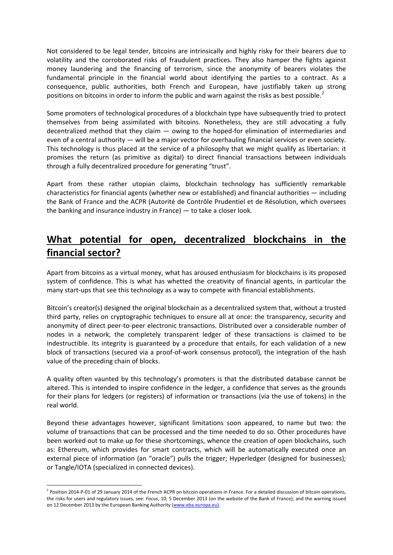Not considered to be legal tender, bitcoins are intrinsically and highly risky for their bearers due to volatility and the corroborated risks of fraudulent practices. They also hamper the fights against money laundering and the financing of terrorism, since the anonymity of bearers violates the fundamental principle in the financial world about identifying the parties to a contract. As a consequence, public authorities, both French and European, have justifiably taken up strong positions on bitcoins in order to inform the public and warn against the risks as best possible.<sup>[2](#page-1-0)</sup>

Some promoters of technological procedures of a blockchain type have subsequently tried to protect themselves from being assimilated with bitcoins. Nonetheless, they are still advocating a fully decentralized method that they claim — owing to the hoped-for elimination of intermediaries and even of a central authority — will be a major vector for overhauling financial services or even society. This technology is thus placed at the service of a philosophy that we might qualify as libertarian: it promises the return (as primitive as digital) to direct financial transactions between individuals through a fully decentralized procedure for generating "trust".

Apart from these rather utopian claims, blockchain technology has sufficiently remarkable characteristics for financial agents (whether new or established) and financial authorities — including the Bank of France and the ACPR (Autorité de Contrôle Prudentiel et de Résolution, which oversees the banking and insurance industry in France) — to take a closer look.

### **What potential for open, decentralized blockchains in the financial sector?**

Apart from bitcoins as a virtual money, what has aroused enthusiasm for blockchains is its proposed system of confidence. This is what has whetted the creativity of financial agents, in particular the many start-ups that see this technology as a way to compete with financial establishments.

Bitcoin's creator(s) designed the original blockchain as a decentralized system that, without a trusted third party, relies on cryptographic techniques to ensure all at once: the transparency, security and anonymity of direct peer-to-peer electronic transactions. Distributed over a considerable number of nodes in a network, the completely transparent ledger of these transactions is claimed to be indestructible. Its integrity is guaranteed by a procedure that entails, for each validation of a new block of transactions (secured via a proof-of-work consensus protocol), the integration of the hash value of the preceding chain of blocks.

A quality often vaunted by this technology's promoters is that the distributed database cannot be altered. This is intended to inspire confidence in the ledger, a confidence that serves as the grounds for their plans for ledgers (or registers) of information or transactions (via the use of tokens) in the real world.

Beyond these advantages however, significant limitations soon appeared, to name but two: the volume of transactions that can be processed and the time needed to do so. Other procedures have been worked out to make up for these shortcomings, whence the creation of open blockchains, such as: Ethereum, which provides for smart contracts, which will be automatically executed once an external piece of information (an "oracle") pulls the trigger; Hyperledger (designed for businesses); or Tangle/IOTA (specialized in connected devices).

<span id="page-1-0"></span> $<sup>2</sup>$  Position 2014-P-01 of 29 January 2014 of the French ACPR on bitcoin operations in France. For a detailed discussion of bitcoin operations,</sup> the risks for users and regulatory issues, see: *Focus*, 10, 5 December 2013 (on the website of the Bank of France); and the warning issued on 12 December 2013 by the European Banking Authority [\(www.eba.europa.eu\).](http://www.eba.europa.eu)./)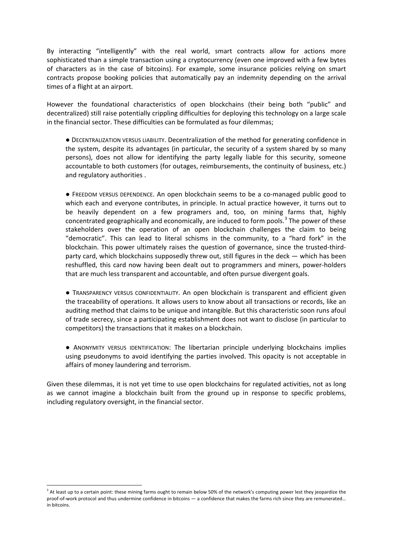By interacting "intelligently" with the real world, smart contracts allow for actions more sophisticated than a simple transaction using a cryptocurrency (even one improved with a few bytes of characters as in the case of bitcoins). For example, some insurance policies relying on smart contracts propose booking policies that automatically pay an indemnity depending on the arrival times of a flight at an airport.

However the foundational characteristics of open blockchains (their being both "public" and decentralized) still raise potentially crippling difficulties for deploying this technology on a large scale in the financial sector. These difficulties can be formulated as four dilemmas;

● DECENTRALIZATION VERSUS LIABILITY. Decentralization of the method for generating confidence in the system, despite its advantages (in particular, the security of a system shared by so many persons), does not allow for identifying the party legally liable for this security, someone accountable to both customers (for outages, reimbursements, the continuity of business, etc.) and regulatory authorities .

● FREEDOM VERSUS DEPENDENCE. An open blockchain seems to be a co-managed public good to which each and everyone contributes, in principle. In actual practice however, it turns out to be heavily dependent on a few programers and, too, on mining farms that, highly concentrated geographically and economically, are induced to form pools. $3$  The power of these stakeholders over the operation of an open blockchain challenges the claim to being "democratic". This can lead to literal schisms in the community, to a "hard fork" in the blockchain. This power ultimately raises the question of governance, since the trusted-thirdparty card, which blockchains supposedly threw out, still figures in the deck — which has been reshuffled, this card now having been dealt out to programmers and miners, power-holders that are much less transparent and accountable, and often pursue divergent goals.

● TRANSPARENCY VERSUS CONFIDENTIALITY. An open blockchain is transparent and efficient given the traceability of operations. It allows users to know about all transactions or records, like an auditing method that claims to be unique and intangible. But this characteristic soon runs afoul of trade secrecy, since a participating establishment does not want to disclose (in particular to competitors) the transactions that it makes on a blockchain.

● ANONYMITY VERSUS IDENTIFICATION: The libertarian principle underlying blockchains implies using pseudonyms to avoid identifying the parties involved. This opacity is not acceptable in affairs of money laundering and terrorism.

Given these dilemmas, it is not yet time to use open blockchains for regulated activities, not as long as we cannot imagine a blockchain built from the ground up in response to specific problems, including regulatory oversight, in the financial sector.

<span id="page-2-0"></span><sup>&</sup>lt;sup>3</sup> At least up to a certain point: these mining farms ought to remain below 50% of the network's computing power lest they jeopardize the proof-of-work protocol and thus undermine confidence in bitcoins — a confidence that makes the farms rich since they are remunerated… in bitcoins.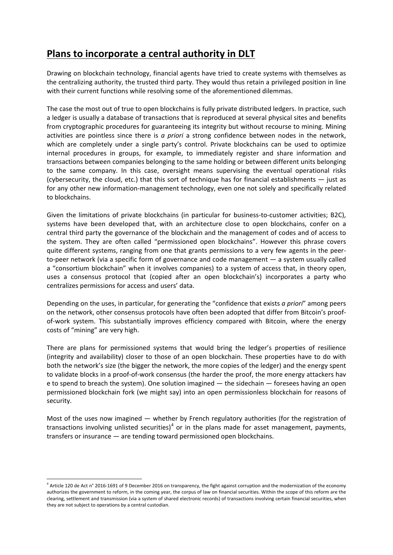## **Plans to incorporate a central authority in DLT**

Drawing on blockchain technology, financial agents have tried to create systems with themselves as the centralizing authority, the trusted third party. They would thus retain a privileged position in line with their current functions while resolving some of the aforementioned dilemmas.

The case the most out of true to open blockchains is fully private distributed ledgers. In practice, such a ledger is usually a database of transactions that is reproduced at several physical sites and benefits from cryptographic procedures for guaranteeing its integrity but without recourse to mining. Mining activities are pointless since there is *a priori* a strong confidence between nodes in the network, which are completely under a single party's control. Private blockchains can be used to optimize internal procedures in groups, for example, to immediately register and share information and transactions between companies belonging to the same holding or between different units belonging to the same company. In this case, oversight means supervising the eventual operational risks (cybersecurity, the cloud, etc.) that this sort of technique has for financial establishments — just as for any other new information-management technology, even one not solely and specifically related to blockchains.

Given the limitations of private blockchains (in particular for business-to-customer activities; B2C), systems have been developed that, with an architecture close to open blockchains, confer on a central third party the governance of the blockchain and the management of codes and of access to the system. They are often called "permissioned open blockchains". However this phrase covers quite different systems, ranging from one that grants permissions to a very few agents in the peerto-peer network (via a specific form of governance and code management — a system usually called a "consortium blockchain" when it involves companies) to a system of access that, in theory open, uses a consensus protocol that (copied after an open blockchain's) incorporates a party who centralizes permissions for access and users' data.

Depending on the uses, in particular, for generating the "confidence that exists *a priori*" among peers on the network, other consensus protocols have often been adopted that differ from Bitcoin's proofof-work system. This substantially improves efficiency compared with Bitcoin, where the energy costs of "mining" are very high.

There are plans for permissioned systems that would bring the ledger's properties of resilience (integrity and availability) closer to those of an open blockchain. These properties have to do with both the network's size (the bigger the network, the more copies of the ledger) and the energy spent to validate blocks in a proof-of-work consensus (the harder the proof, the more energy attackers hav e to spend to breach the system). One solution imagined — the sidechain — foresees having an open permissioned blockchain fork (we might say) into an open permissionless blockchain for reasons of security.

Most of the uses now imagined — whether by French regulatory authorities (for the registration of transactions involving unlisted securities)<sup>[4](#page-3-0)</sup> or in the plans made for asset management, payments, transfers or insurance — are tending toward permissioned open blockchains.

<span id="page-3-0"></span><sup>4</sup> Article 120 de Act n° 2016-1691 of 9 December 2016 on transparency, the fight against corruption and the modernization of the economy authorizes the government to reform, in the coming year, the corpus of law on financial securities. Within the scope of this reform are the clearing, settlement and transmission (via a system of shared electronic records) of transactions involving certain financial securities, when they are not subject to operations by a central custodian.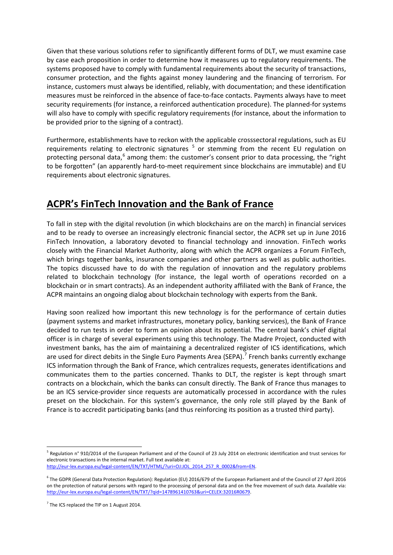Given that these various solutions refer to significantly different forms of DLT, we must examine case by case each proposition in order to determine how it measures up to regulatory requirements. The systems proposed have to comply with fundamental requirements about the security of transactions, consumer protection, and the fights against money laundering and the financing of terrorism. For instance, customers must always be identified, reliably, with documentation; and these identification measures must be reinforced in the absence of face-to-face contacts. Payments always have to meet security requirements (for instance, a reinforced authentication procedure). The planned-for systems will also have to comply with specific regulatory requirements (for instance, about the information to be provided prior to the signing of a contract).

Furthermore, establishments have to reckon with the applicable crosssectoral regulations, such as EU requirements relating to electronic signatures  $5$  or stemming from the recent EU regulation on protecting personal data, $6$  among them: the customer's consent prior to data processing, the "right" to be forgotten" (an apparently hard-to-meet requirement since blockchains are immutable) and EU requirements about electronic signatures.

### **ACPR's FinTech Innovation and the Bank of France**

To fall in step with the digital revolution (in which blockchains are on the march) in financial services and to be ready to oversee an increasingly electronic financial sector, the ACPR set up in June 2016 FinTech Innovation, a laboratory devoted to financial technology and innovation. FinTech works closely with the Financial Market Authority, along with which the ACPR organizes a Forum FinTech, which brings together banks, insurance companies and other partners as well as public authorities. The topics discussed have to do with the regulation of innovation and the regulatory problems related to blockchain technology (for instance, the legal worth of operations recorded on a blockchain or in smart contracts). As an independent authority affiliated with the Bank of France, the ACPR maintains an ongoing dialog about blockchain technology with experts from the Bank.

Having soon realized how important this new technology is for the performance of certain duties (payment systems and market infrastructures, monetary policy, banking services), the Bank of France decided to run tests in order to form an opinion about its potential. The central bank's chief digital officer is in charge of several experiments using this technology. The Madre Project, conducted with investment banks, has the aim of maintaining a decentralized register of ICS identifications, which are used for direct debits in the Single Euro Payments Area (SEPA).<sup>[7](#page-4-2)</sup> French banks currently exchange ICS information through the Bank of France, which centralizes requests, generates identifications and communicates them to the parties concerned. Thanks to DLT, the register is kept through smart contracts on a blockchain, which the banks can consult directly. The Bank of France thus manages to be an ICS service-provider since requests are automatically processed in accordance with the rules preset on the blockchain. For this system's governance, the only role still played by the Bank of France is to accredit participating banks (and thus reinforcing its position as a trusted third party).

<span id="page-4-0"></span><sup>5</sup> Regulation n° 910/2014 of the European Parliament and of the Council of 23 July 2014 on electronic identification and trust services for electronic transactions in the internal market. Full text available at:

[http://eur-lex.europa.eu/legal-content/EN/TXT/HTML/?uri=OJ:JOL\\_2014\\_257\\_R\\_0002&from=EN.](http://eur-lex.europa.eu/legal-content/EN/TXT/HTML/?uri=OJ:JOL_2014_257_R_0002&from=EN)

<span id="page-4-1"></span><sup>&</sup>lt;sup>6</sup> The GDPR (General Data Protection Regulation): Regulation (EU) 2016/679 of the European Parliament and of the Council of 27 April 2016 on the protection of natural persons with regard to the processing of personal data and on the free movement of such data. Available via: [http://eur-lex.europa.eu/legal-content/EN/TXT/?qid=1478961410763&uri=CELEX:32016R0679.](http://eur-lex.europa.eu/legal-content/EN/TXT/?qid=1478961410763&uri=CELEX:32016R0679)

<span id="page-4-2"></span> $7$  The ICS replaced the TIP on 1 August 2014.